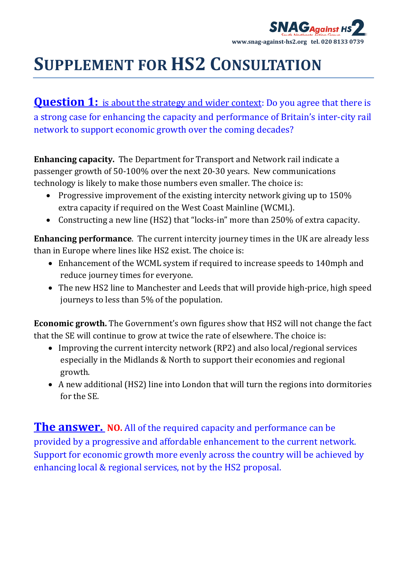

**Question 1:** is about the strategy and wider context: Do you agree that there is a strong case for enhancing the capacity and performance of Britain's inter‐city rail network to support economic growth over the coming decades?

**Enhancing capacity.** The Department for Transport and Network rail indicate a passenger growth of 50‐100% over the next 20‐30 years. New communications technology is likely to make those numbers even smaller. The choice is:

- Progressive improvement of the existing intercity network giving up to 150% extra capacity if required on the West Coast Mainline (WCML).
- Constructing a new line (HS2) that "locks-in" more than 250% of extra capacity.

**Enhancing performance**. The current intercity journey times in the UK are already less than in Europe where lines like HS2 exist. The choice is:

- Enhancement of the WCML system if required to increase speeds to 140mph and reduce journey times for everyone.
- The new HS2 line to Manchester and Leeds that will provide high‐price, high speed journeys to less than 5% of the population.

**Economic growth.** The Government's own figures show that HS2 will not change the fact that the SE will continue to grow at twice the rate of elsewhere. The choice is:

- Improving the current intercity network (RP2) and also local/regional services especially in the Midlands & North to support their economies and regional growth.
- A new additional (HS2) line into London that will turn the regions into dormitories for the SE.

**The answer. NO.** All of the required capacity and performance can be provided by a progressive and affordable enhancement to the current network. Support for economic growth more evenly across the country will be achieved by enhancing local & regional services, not by the HS2 proposal.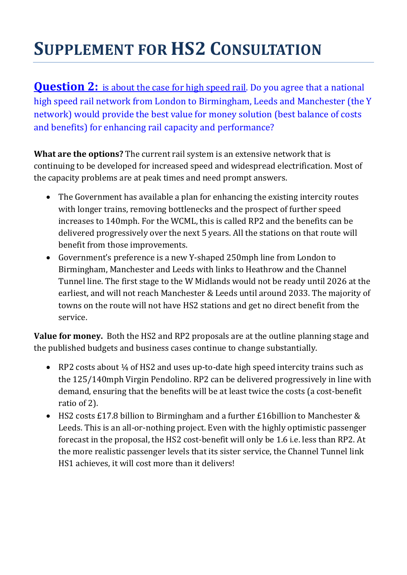**Question 2:** is about the case for high speed rail. Do you agree that a national high speed rail network from London to Birmingham, Leeds and Manchester (the Y network) would provide the best value for money solution (best balance of costs and benefits) for enhancing rail capacity and performance?

**What are the options?** The current rail system is an extensive network that is continuing to be developed for increased speed and widespread electrification. Most of the capacity problems are at peak times and need prompt answers.

- The Government has available a plan for enhancing the existing intercity routes with longer trains, removing bottlenecks and the prospect of further speed increases to 140mph. For the WCML, this is called RP2 and the benefits can be delivered progressively over the next 5 years. All the stations on that route will benefit from those improvements.
- Government's preference is a new Y‐shaped 250mph line from London to Birmingham, Manchester and Leeds with links to Heathrow and the Channel Tunnel line. The first stage to the W Midlands would not be ready until 2026 at the earliest, and will not reach Manchester & Leeds until around 2033. The majority of towns on the route will not have HS2 stations and get no direct benefit from the service.

**Value for money.** Both the HS2 and RP2 proposals are at the outline planning stage and the published budgets and business cases continue to change substantially.

- RP2 costs about ¼ of HS2 and uses up-to-date high speed intercity trains such as the 125/140mph Virgin Pendolino. RP2 can be delivered progressively in line with demand, ensuring that the benefits will be at least twice the costs (a cost-benefit ratio of 2).
- HS2 costs £17.8 billion to Birmingham and a further £16billion to Manchester & Leeds. This is an all-or-nothing project. Even with the highly optimistic passenger forecast in the proposal, the HS2 cost-benefit will only be 1.6 i.e. less than RP2. At the more realistic passenger levels that its sister service, the Channel Tunnel link HS1 achieves, it will cost more than it delivers!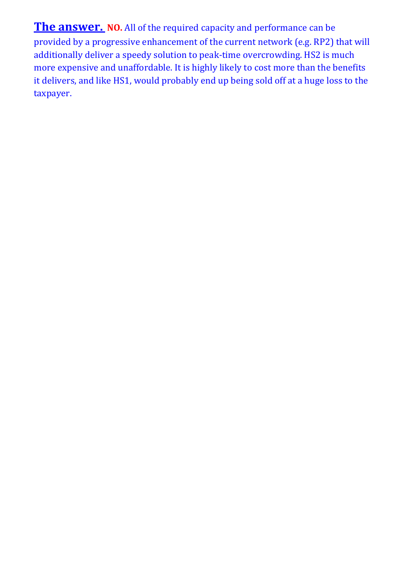**The answer. NO.** All of the required capacity and performance can be provided by a progressive enhancement of the current network (e.g. RP2) that will additionally deliver a speedy solution to peak-time overcrowding. HS2 is much more expensive and unaffordable. It is highly likely to cost more than the benefits it delivers, and like HS1, would probably end up being sold off at a huge loss to the taxpayer.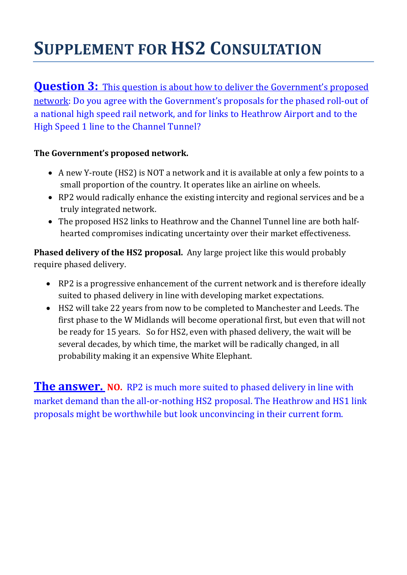**Question 3:** This question is about how to deliver the Government's proposed network: Do you agree with the Government's proposals for the phased roll‐out of a national high speed rail network, and for links to Heathrow Airport and to the High Speed 1 line to the Channel Tunnel?

## **The Government's proposed network.**

- A new Y-route (HS2) is NOT a network and it is available at only a few points to a small proportion of the country. It operates like an airline on wheels.
- RP2 would radically enhance the existing intercity and regional services and be a truly integrated network.
- The proposed HS2 links to Heathrow and the Channel Tunnel line are both halfhearted compromises indicating uncertainty over their market effectiveness.

**Phased delivery of the HS2 proposal.** Any large project like this would probably require phased delivery.

- RP2 is a progressive enhancement of the current network and is therefore ideally suited to phased delivery in line with developing market expectations.
- HS2 will take 22 years from now to be completed to Manchester and Leeds. The first phase to the W Midlands will become operational first, but even that will not be ready for 15 years. So for HS2, even with phased delivery, the wait will be several decades, by which time, the market will be radically changed, in all probability making it an expensive White Elephant.

**The answer. NO.** RP2 is much more suited to phased delivery in line with market demand than the all-or-nothing HS2 proposal. The Heathrow and HS1 link proposals might be worthwhile but look unconvincing in their current form.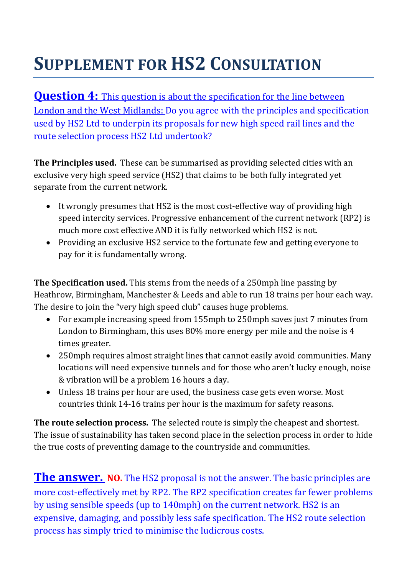**Question 4:** This question is about the specification for the line between London and the West Midlands: Do you agree with the principles and specification used by HS2 Ltd to underpin its proposals for new high speed rail lines and the route selection process HS2 Ltd undertook?

**The Principles used.** These can be summarised as providing selected cities with an exclusive very high speed service (HS2) that claims to be both fully integrated yet separate from the current network.

- It wrongly presumes that HS2 is the most cost-effective way of providing high speed intercity services. Progressive enhancement of the current network (RP2) is much more cost effective AND it is fully networked which HS2 is not.
- Providing an exclusive HS2 service to the fortunate few and getting everyone to pay for it is fundamentally wrong.

**The Specification used.** This stems from the needs of a 250mph line passing by Heathrow, Birmingham, Manchester & Leeds and able to run 18 trains per hour each way. The desire to join the "very high speed club" causes huge problems.

- For example increasing speed from 155mph to 250mph saves just 7 minutes from London to Birmingham, this uses 80% more energy per mile and the noise is 4 times greater.
- 250mph requires almost straight lines that cannot easily avoid communities. Many locations will need expensive tunnels and for those who aren't lucky enough, noise & vibration will be a problem 16 hours a day.
- Unless 18 trains per hour are used, the business case gets even worse. Most countries think 14‐16 trains per hour is the maximum for safety reasons.

**The route selection process.** The selected route is simply the cheapest and shortest. The issue of sustainability has taken second place in the selection process in order to hide the true costs of preventing damage to the countryside and communities.

**The answer. NO.** The HS2 proposal is not the answer. The basic principles are more cost-effectively met by RP2. The RP2 specification creates far fewer problems by using sensible speeds (up to 140mph) on the current network. HS2 is an expensive, damaging, and possibly less safe specification. The HS2 route selection process has simply tried to minimise the ludicrous costs.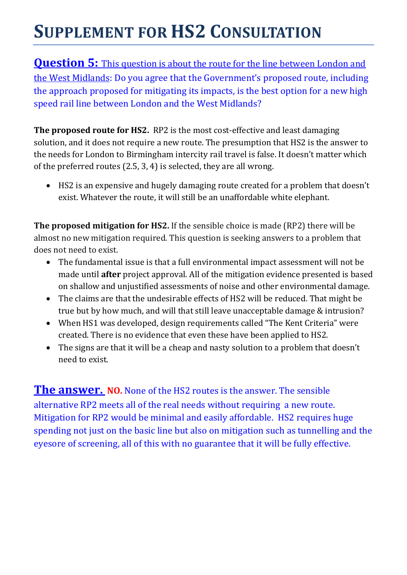**Question 5:** This question is about the route for the line between London and the West Midlands: Do you agree that the Government's proposed route, including the approach proposed for mitigating its impacts, is the best option for a new high speed rail line between London and the West Midlands?

**The proposed route for HS2.** RP2 is the most cost‐effective and least damaging solution, and it does not require a new route. The presumption that HS2 is the answer to the needs for London to Birmingham intercity rail travel is false. It doesn't matter which of the preferred routes (2.5, 3, 4) is selected, they are all wrong.

• HS2 is an expensive and hugely damaging route created for a problem that doesn't exist. Whatever the route, it will still be an unaffordable white elephant.

**The proposed mitigation for HS2.** If the sensible choice is made (RP2) there will be almost no new mitigation required. This question is seeking answers to a problem that does not need to exist.

- The fundamental issue is that a full environmental impact assessment will not be made until **after** project approval. All of the mitigation evidence presented is based on shallow and unjustified assessments of noise and other environmental damage.
- The claims are that the undesirable effects of HS2 will be reduced. That might be true but by how much, and will that still leave unacceptable damage & intrusion?
- When HS1 was developed, design requirements called "The Kent Criteria" were created. There is no evidence that even these have been applied to HS2.
- The signs are that it will be a cheap and nasty solution to a problem that doesn't need to exist.

**The answer. NO.** None of the HS2 routes is the answer. The sensible alternative RP2 meets all of the real needs without requiring a new route. Mitigation for RP2 would be minimal and easily affordable. HS2 requires huge spending not just on the basic line but also on mitigation such as tunnelling and the eyesore of screening, all of this with no guarantee that it will be fully effective.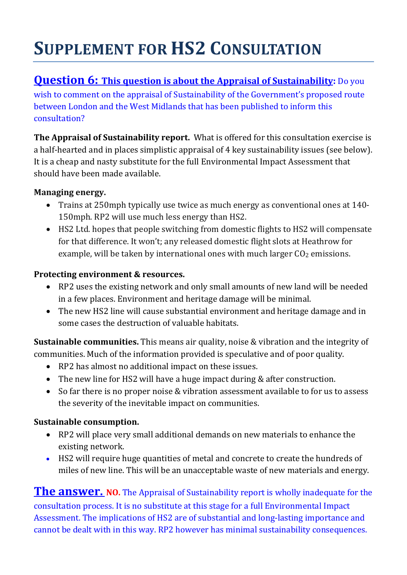## **Question 6:** This question is about the Appraisal of Sustainability: Do you

wish to comment on the appraisal of Sustainability of the Government's proposed route between London and the West Midlands that has been published to inform this consultation?

**The Appraisal of Sustainability report.** What is offered for this consultation exercise is a half-hearted and in places simplistic appraisal of 4 key sustainability issues (see below). It is a cheap and nasty substitute for the full Environmental Impact Assessment that should have been made available.

### **Managing energy.**

- Trains at 250mph typically use twice as much energy as conventional ones at 140– 150mph. RP2 will use much less energy than HS2.
- HS2 Ltd. hopes that people switching from domestic flights to HS2 will compensate for that difference. It won't; any released domestic flight slots at Heathrow for example, will be taken by international ones with much larger  $CO<sub>2</sub>$  emissions.

### **Protecting environment & resources.**

- RP2 uses the existing network and only small amounts of new land will be needed in a few places. Environment and heritage damage will be minimal.
- The new HS2 line will cause substantial environment and heritage damage and in some cases the destruction of valuable habitats.

**Sustainable communities.** This means air quality, noise & vibration and the integrity of communities. Much of the information provided is speculative and of poor quality.

- RP2 has almost no additional impact on these issues.
- The new line for HS2 will have a huge impact during & after construction.
- So far there is no proper noise & vibration assessment available to for us to assess the severity of the inevitable impact on communities.

### **Sustainable consumption.**

- RP2 will place very small additional demands on new materials to enhance the existing network.
- HS2 will require huge quantities of metal and concrete to create the hundreds of miles of new line. This will be an unacceptable waste of new materials and energy.

**The answer. NO.** The Appraisal of Sustainability report is wholly inadequate for the consultation process. It is no substitute at this stage for a full Environmental Impact Assessment. The implications of HS2 are of substantial and long‐lasting importance and cannot be dealt with in this way. RP2 however has minimal sustainability consequences.